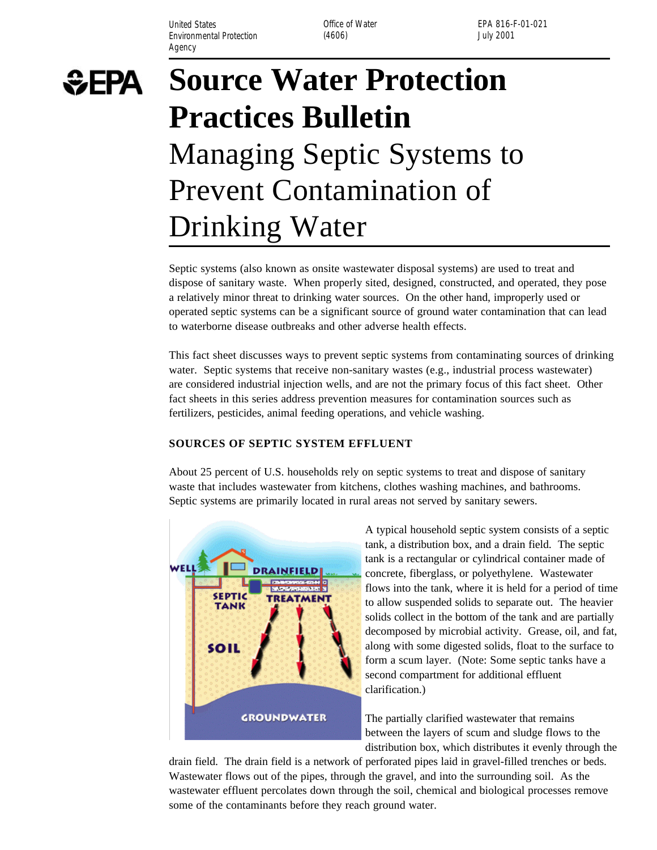United States **Office of Water** Environmental Protection (4606) (3606) and the University of the University of the University of the University of the University of the University of the University of the University of the University of the University of Agency

EPA 816-F-01-021

# **SEPA**

# **Source Water Protection Practices Bulletin**  Managing Septic Systems to Prevent Contamination of Drinking Water

Septic systems (also known as onsite wastewater disposal systems) are used to treat and dispose of sanitary waste. When properly sited, designed, constructed, and operated, they pose a relatively minor threat to drinking water sources. On the other hand, improperly used or operated septic systems can be a significant source of ground water contamination that can lead to waterborne disease outbreaks and other adverse health effects.

This fact sheet discusses ways to prevent septic systems from contaminating sources of drinking water. Septic systems that receive non-sanitary wastes (e.g., industrial process wastewater) are considered industrial injection wells, and are not the primary focus of this fact sheet. Other fact sheets in this series address prevention measures for contamination sources such as fertilizers, pesticides, animal feeding operations, and vehicle washing.

## **SOURCES OF SEPTIC SYSTEM EFFLUENT**

About 25 percent of U.S. households rely on septic systems to treat and dispose of sanitary waste that includes wastewater from kitchens, clothes washing machines, and bathrooms. Septic systems are primarily located in rural areas not served by sanitary sewers.



A typical household septic system consists of a septic tank, a distribution box, and a drain field. The septic tank is a rectangular or cylindrical container made of concrete, fiberglass, or polyethylene. Wastewater flows into the tank, where it is held for a period of time to allow suspended solids to separate out. The heavier solids collect in the bottom of the tank and are partially decomposed by microbial activity. Grease, oil, and fat, along with some digested solids, float to the surface to form a scum layer. (Note: Some septic tanks have a second compartment for additional effluent clarification.)

The partially clarified wastewater that remains between the layers of scum and sludge flows to the distribution box, which distributes it evenly through the

drain field. The drain field is a network of perforated pipes laid in gravel-filled trenches or beds. Wastewater flows out of the pipes, through the gravel, and into the surrounding soil. As the wastewater effluent percolates down through the soil, chemical and biological processes remove some of the contaminants before they reach ground water.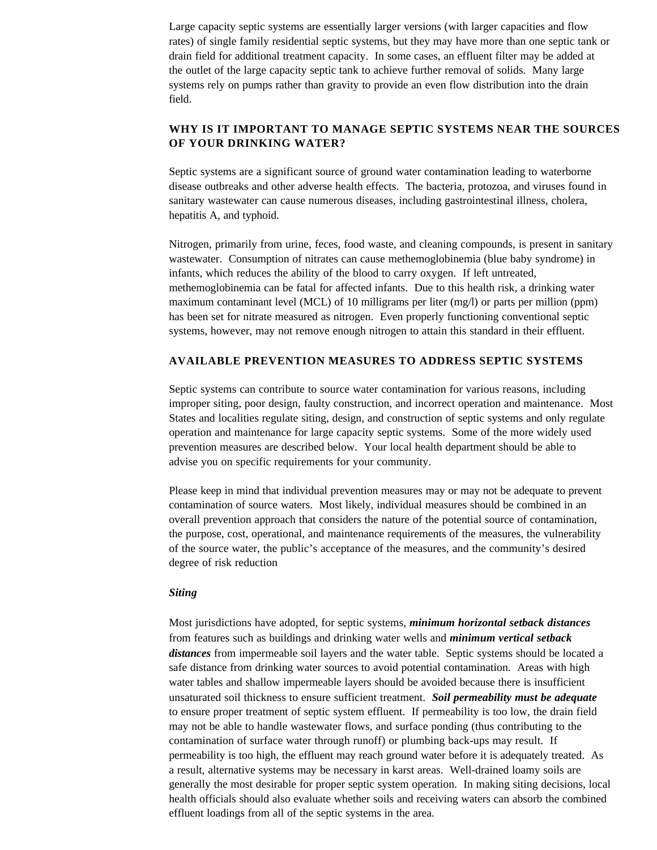Large capacity septic systems are essentially larger versions (with larger capacities and flow rates) of single family residential septic systems, but they may have more than one septic tank or drain field for additional treatment capacity. In some cases, an effluent filter may be added at the outlet of the large capacity septic tank to achieve further removal of solids. Many large systems rely on pumps rather than gravity to provide an even flow distribution into the drain field.

# **WHY IS IT IMPORTANT TO MANAGE SEPTIC SYSTEMS NEAR THE SOURCES OF YOUR DRINKING WATER?**

Septic systems are a significant source of ground water contamination leading to waterborne disease outbreaks and other adverse health effects. The bacteria, protozoa, and viruses found in sanitary wastewater can cause numerous diseases, including gastrointestinal illness, cholera, hepatitis A, and typhoid.

Nitrogen, primarily from urine, feces, food waste, and cleaning compounds, is present in sanitary wastewater. Consumption of nitrates can cause methemoglobinemia (blue baby syndrome) in infants, which reduces the ability of the blood to carry oxygen. If left untreated, methemoglobinemia can be fatal for affected infants. Due to this health risk, a drinking water maximum contaminant level (MCL) of 10 milligrams per liter (mg/l) or parts per million (ppm) has been set for nitrate measured as nitrogen. Even properly functioning conventional septic systems, however, may not remove enough nitrogen to attain this standard in their effluent.

### **AVAILABLE PREVENTION MEASURES TO ADDRESS SEPTIC SYSTEMS**

Septic systems can contribute to source water contamination for various reasons, including improper siting, poor design, faulty construction, and incorrect operation and maintenance. Most States and localities regulate siting, design, and construction of septic systems and only regulate operation and maintenance for large capacity septic systems. Some of the more widely used prevention measures are described below. Your local health department should be able to advise you on specific requirements for your community.

Please keep in mind that individual prevention measures may or may not be adequate to prevent contamination of source waters. Most likely, individual measures should be combined in an overall prevention approach that considers the nature of the potential source of contamination, the purpose, cost, operational, and maintenance requirements of the measures, the vulnerability of the source water, the public's acceptance of the measures, and the community's desired degree of risk reduction

#### *Siting*

Most jurisdictions have adopted, for septic systems, *minimum horizontal setback distances*  from features such as buildings and drinking water wells and *minimum vertical setback distances* from impermeable soil layers and the water table. Septic systems should be located a safe distance from drinking water sources to avoid potential contamination. Areas with high water tables and shallow impermeable layers should be avoided because there is insufficient unsaturated soil thickness to ensure sufficient treatment. *Soil permeability must be adequate*  to ensure proper treatment of septic system effluent. If permeability is too low, the drain field may not be able to handle wastewater flows, and surface ponding (thus contributing to the contamination of surface water through runoff) or plumbing back-ups may result. If permeability is too high, the effluent may reach ground water before it is adequately treated. As a result, alternative systems may be necessary in karst areas. Well-drained loamy soils are generally the most desirable for proper septic system operation. In making siting decisions, local health officials should also evaluate whether soils and receiving waters can absorb the combined effluent loadings from all of the septic systems in the area.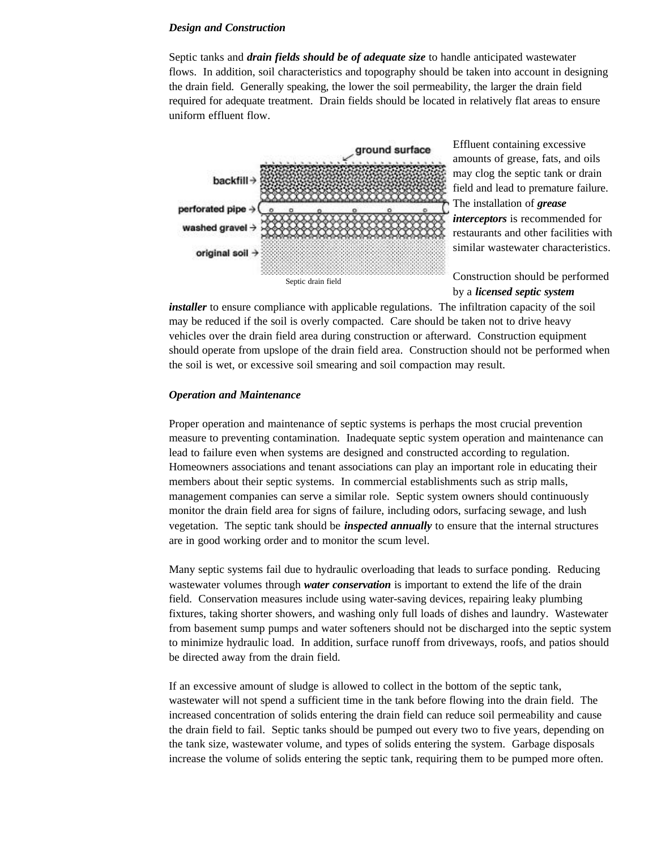#### *Design and Construction*

Septic tanks and *drain fields should be of adequate size* to handle anticipated wastewater flows. In addition, soil characteristics and topography should be taken into account in designing the drain field. Generally speaking, the lower the soil permeability, the larger the drain field required for adequate treatment. Drain fields should be located in relatively flat areas to ensure uniform effluent flow.



Effluent containing excessive amounts of grease, fats, and oils may clog the septic tank or drain field and lead to premature failure. The installation of *grease interceptors* is recommended for restaurants and other facilities with similar wastewater characteristics.

by a *licensed septic system* 

*installer* to ensure compliance with applicable regulations. The infiltration capacity of the soil may be reduced if the soil is overly compacted. Care should be taken not to drive heavy vehicles over the drain field area during construction or afterward. Construction equipment should operate from upslope of the drain field area. Construction should not be performed when the soil is wet, or excessive soil smearing and soil compaction may result.

#### *Operation and Maintenance*

Proper operation and maintenance of septic systems is perhaps the most crucial prevention measure to preventing contamination. Inadequate septic system operation and maintenance can lead to failure even when systems are designed and constructed according to regulation. Homeowners associations and tenant associations can play an important role in educating their members about their septic systems. In commercial establishments such as strip malls, management companies can serve a similar role. Septic system owners should continuously monitor the drain field area for signs of failure, including odors, surfacing sewage, and lush vegetation. The septic tank should be *inspected annually* to ensure that the internal structures are in good working order and to monitor the scum level.

Many septic systems fail due to hydraulic overloading that leads to surface ponding. Reducing wastewater volumes through *water conservation* is important to extend the life of the drain field. Conservation measures include using water-saving devices, repairing leaky plumbing fixtures, taking shorter showers, and washing only full loads of dishes and laundry. Wastewater from basement sump pumps and water softeners should not be discharged into the septic system to minimize hydraulic load. In addition, surface runoff from driveways, roofs, and patios should be directed away from the drain field.

If an excessive amount of sludge is allowed to collect in the bottom of the septic tank, wastewater will not spend a sufficient time in the tank before flowing into the drain field. The increased concentration of solids entering the drain field can reduce soil permeability and cause the drain field to fail. Septic tanks should be pumped out every two to five years, depending on the tank size, wastewater volume, and types of solids entering the system. Garbage disposals increase the volume of solids entering the septic tank, requiring them to be pumped more often.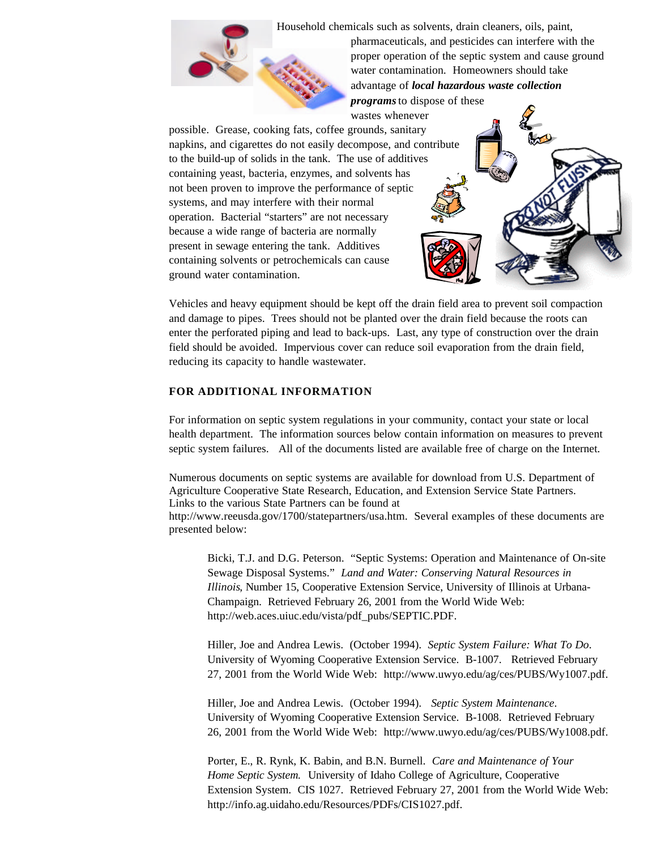Household chemicals such as solvents, drain cleaners, oils, paint,



pharmaceuticals, and pesticides can interfere with the proper operation of the septic system and cause ground water contamination. Homeowners should take advantage of *local hazardous waste collection programs* to dispose of these

wastes whenever

possible. Grease, cooking fats, coffee grounds, sanitary napkins, and cigarettes do not easily decompose, and contribute to the build-up of solids in the tank. The use of additives containing yeast, bacteria, enzymes, and solvents has not been proven to improve the performance of septic systems, and may interfere with their normal operation. Bacterial "starters" are not necessary because a wide range of bacteria are normally present in sewage entering the tank. Additives containing solvents or petrochemicals can cause ground water contamination.

Vehicles and heavy equipment should be kept off the drain field area to prevent soil compaction and damage to pipes. Trees should not be planted over the drain field because the roots can enter the perforated piping and lead to back-ups. Last, any type of construction over the drain field should be avoided. Impervious cover can reduce soil evaporation from the drain field, reducing its capacity to handle wastewater.

#### **FOR ADDITIONAL INFORMATION**

For information on septic system regulations in your community, contact your state or local health department. The information sources below contain information on measures to prevent septic system failures. All of the documents listed are available free of charge on the Internet.

Numerous documents on septic systems are available for download from U.S. Department of Agriculture Cooperative State Research, Education, and Extension Service State Partners. Links to the various State Partners can be found at http://www.reeusda.gov/1700/statepartners/usa.htm. Several examples of these documents are presented below:

Bicki, T.J. and D.G. Peterson. "Septic Systems: Operation and Maintenance of On-site Sewage Disposal Systems." *Land and Water: Conserving Natural Resources in Illinois*, Number 15, Cooperative Extension Service, University of Illinois at Urbana-Champaign. Retrieved February 26, 2001 from the World Wide Web: http://web.aces.uiuc.edu/vista/pdf\_pubs/SEPTIC.PDF.

Hiller, Joe and Andrea Lewis. (October 1994). *Septic System Failure: What To Do*. University of Wyoming Cooperative Extension Service. B-1007. Retrieved February 27, 2001 from the World Wide Web: http://www.uwyo.edu/ag/ces/PUBS/Wy1007.pdf.

Hiller, Joe and Andrea Lewis. (October 1994). *Septic System Maintenance*. University of Wyoming Cooperative Extension Service. B-1008. Retrieved February 26, 2001 from the World Wide Web: http://www.uwyo.edu/ag/ces/PUBS/Wy1008.pdf.

Porter, E., R. Rynk, K. Babin, and B.N. Burnell. *Care and Maintenance of Your Home Septic System.* University of Idaho College of Agriculture, Cooperative Extension System. CIS 1027. Retrieved February 27, 2001 from the World Wide Web: http://info.ag.uidaho.edu/Resources/PDFs/CIS1027.pdf.